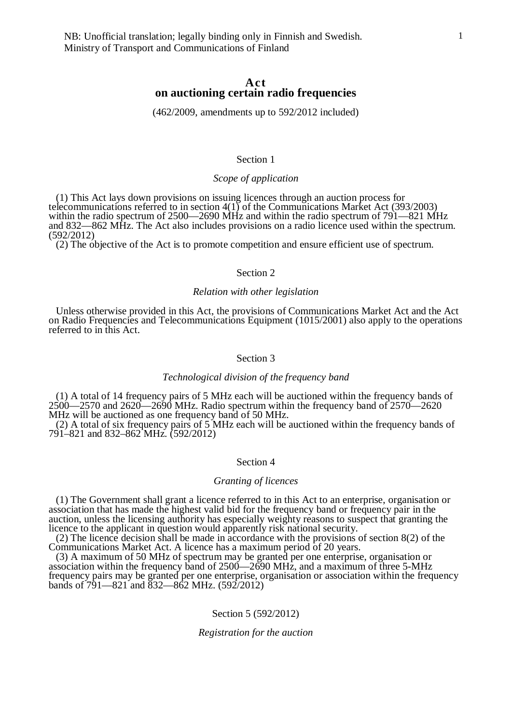# **Act on auctioning certain radio frequencies**

(462/2009, amendments up to 592/2012 included)

# Section 1

# *Scope of application*

(1) This Act lays down provisions on issuing licences through an auction process for telecommunications referred to in section 4(1) of the Communications Market Act (393/2003) within the radio spectrum of 2500—2690 MHz and within the radio spectrum of 791—821 MHz and 832—862 MHz. The Act also includes provisions on a radio licence used within the spectrum. (592/2012)

(2) The objective of the Act is to promote competition and ensure efficient use of spectrum.

### Section 2

# *Relation with other legislation*

Unless otherwise provided in this Act, the provisions of Communications Market Act and the Act on Radio Frequencies and Telecommunications Equipment (1015/2001) also apply to the operations referred to in this Act.

## Section 3

## *Technological division of the frequency band*

(1) A total of 14 frequency pairs of 5 MHz each will be auctioned within the frequency bands of  $2500 - 2570$  and  $2620 - 2690$  MHz. Radio spectrum within the frequency band of  $2570 - 2620$ MHz will be auctioned as one frequency band of 50 MHz.

(2) A total of six frequency pairs of 5 MHz each will be auctioned within the frequency bands of 791–821 and 832–862 MHz. (592/2012)

# Section 4

#### *Granting of licences*

(1) The Government shall grant a licence referred to in this Act to an enterprise, organisation or association that has made the highest valid bid for the frequency band or frequency pair in the auction, unless the licensing authority has especially weighty reasons to suspect that granting the licence to the applicant in question would apparently risk national security.

(2) The licence decision shall be made in accordance with the provisions of section 8(2) of the Communications Market Act. A licence has a maximum period of 20 years.

(3) A maximum of 50 MHz of spectrum may be granted per one enterprise, organisation or association within the frequency band of 2500—2690 MHz, and a maximum of three 5-MHz frequency pairs may be granted per one enterprise, organisation or association within the frequency bands of 791—821 and 832—862 MHz. (592/2012)

## Section 5 (592/2012)

#### *Registration for the auction*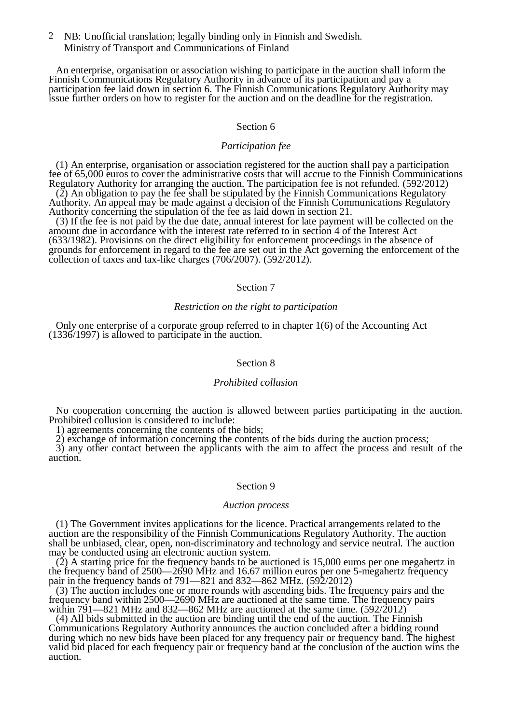NB: Unofficial translation; legally binding only in Finnish and Swedish. 2 Ministry of Transport and Communications of Finland

An enterprise, organisation or association wishing to participate in the auction shall inform the Finnish Communications Regulatory Authority in advance of its participation and pay a participation fee laid down in section 6. The Finnish Communications Regulatory Authority may issue further orders on how to register for the auction and on the deadline for the registration.

# Section 6

# *Participation fee*

(1) An enterprise, organisation or association registered for the auction shall pay a participation fee of 65,000 euros to cover the administrative costs that will accrue to the Finnish Communications Regulatory Authority for arranging the auction. The participation fee is not refunded. (592/2012)

(2) An obligation to pay the fee shall be stipulated by the Finnish Communications Regulatory Authority. An appeal may be made against a decision of the Finnish Communications Regulatory Authority concerning the stipulation of the fee as laid down in section 21.

(3) If the fee is not paid by the due date, annual interest for late payment will be collected on the amount due in accordance with the interest rate referred to in section 4 of the Interest Act (633/1982). Provisions on the direct eligibility for enforcement proceedings in the absence of grounds for enforcement in regard to the fee are set out in the Act governing the enforcement of the collection of taxes and tax-like charges (706/2007). (592/2012).

## Section 7

## *Restriction on the right to participation*

Only one enterprise of a corporate group referred to in chapter 1(6) of the Accounting Act (1336/1997) is allowed to participate in the auction.

# Section 8

## *Prohibited collusion*

No cooperation concerning the auction is allowed between parties participating in the auction. Prohibited collusion is considered to include:

1) agreements concerning the contents of the bids;

2) exchange of information concerning the contents of the bids during the auction process;

3) any other contact between the applicants with the aim to affect the process and result of the auction.

#### Section 9

#### *Auction process*

(1) The Government invites applications for the licence. Practical arrangements related to the auction are the responsibility of the Finnish Communications Regulatory Authority. The auction shall be unbiased, clear, open, non-discriminatory and technology and service neutral. The auction may be conducted using an electronic auction system.

 $(2)$  A starting price for the frequency bands to be auctioned is 15,000 euros per one megahertz in the frequency band of 2500—2690 MHz and 16.67 million euros per one 5-megahertz frequency pair in the frequency bands of 791—821 and 832—862 MHz. (592/2012)

(3) The auction includes one or more rounds with ascending bids. The frequency pairs and the frequency band within 2500—2690 MHz are auctioned at the same time. The frequency pairs within  $791-821$  MHz and  $832-862$  MHz are auctioned at the same time.  $(592/2012)$ 

(4) All bids submitted in the auction are binding until the end of the auction. The Finnish Communications Regulatory Authority announces the auction concluded after a bidding round during which no new bids have been placed for any frequency pair or frequency band. The highest valid bid placed for each frequency pair or frequency band at the conclusion of the auction wins the auction.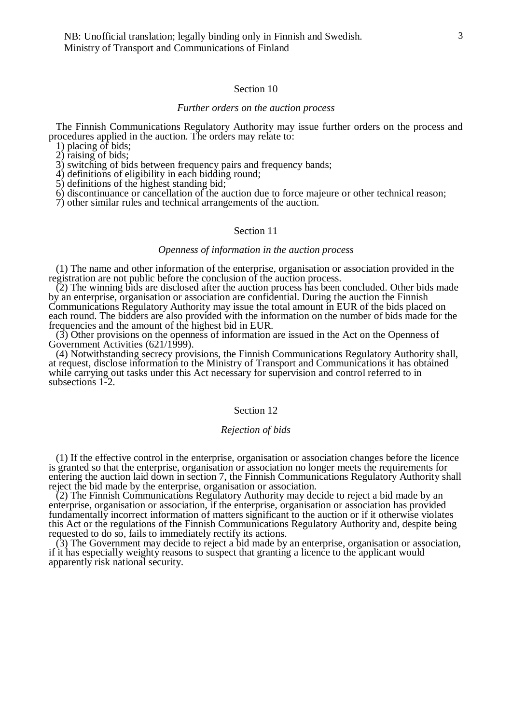NB: Unofficial translation; legally binding only in Finnish and Swedish. Ministry of Transport and Communications of Finland

## Section 10

#### *Further orders on the auction process*

The Finnish Communications Regulatory Authority may issue further orders on the process and procedures applied in the auction. The orders may relate to:

1) placing of bids;

 $2)$  raising of bids;

3) switching of bids between frequency pairs and frequency bands;

4) definitions of eligibility in each bidding round;

5) definitions of the highest standing bid;

6) discontinuance or cancellation of the auction due to force majeure or other technical reason;

7) other similar rules and technical arrangements of the auction.

## Section 11

# *Openness of information in the auction process*

(1) The name and other information of the enterprise, organisation or association provided in the registration are not public before the conclusion of the auction process.

(2) The winning bids are disclosed after the auction process has been concluded. Other bids made by an enterprise, organisation or association are confidential. During the auction the Finnish Communications Regulatory Authority may issue the total amount in EUR of the bids placed on each round. The bidders are also provided with the information on the number of bids made for the frequencies and the amount of the highest bid in EUR.

(3) Other provisions on the openness of information are issued in the Act on the Openness of Government Activities (621/1999).

(4) Notwithstanding secrecy provisions, the Finnish Communications Regulatory Authority shall, at request, disclose information to the Ministry of Transport and Communications it has obtained while carrying out tasks under this Act necessary for supervision and control referred to in subsections 1-2.

### Section 12

#### *Rejection of bids*

(1) If the effective control in the enterprise, organisation or association changes before the licence is granted so that the enterprise, organisation or association no longer meets the requirements for entering the auction laid down in section 7, the Finnish Communications Regulatory Authority shall reject the bid made by the enterprise, organisation or association.

(2) The Finnish Communications Regulatory Authority may decide to reject a bid made by an enterprise, organisation or association, if the enterprise, organisation or association has provided fundamentally incorrect information of matters significant to the auction or if it otherwise violates this Act or the regulations of the Finnish Communications Regulatory Authority and, despite being requested to do so, fails to immediately rectify its actions.

(3) The Government may decide to reject a bid made by an enterprise, organisation or association, if it has especially weighty reasons to suspect that granting a licence to the applicant would apparently risk national security.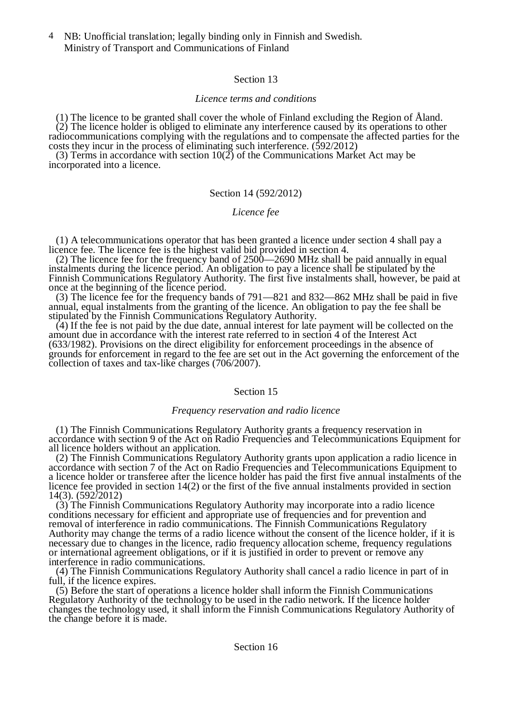NB: Unofficial translation; legally binding only in Finnish and Swedish. 4 Ministry of Transport and Communications of Finland

# Section 13

# *Licence terms and conditions*

(1) The licence to be granted shall cover the whole of Finland excluding the Region of Åland.  $(2)$  The licence holder is obliged to eliminate any interference caused by its operations to other radiocommunications complying with the regulations and to compensate the affected parties for the costs they incur in the process of eliminating such interference. (592/2012)

(3) Terms in accordance with section  $10(2)$  of the Communications Market Act may be incorporated into a licence.

# Section 14 (592/2012)

# *Licence fee*

(1) A telecommunications operator that has been granted a licence under section 4 shall pay a licence fee. The licence fee is the highest valid bid provided in section 4.

(2) The licence fee for the frequency band of 2500—2690 MHz shall be paid annually in equal instalments during the licence period. An obligation to pay a licence shall be stipulated by the Finnish Communications Regulatory Authority. The first five instalments shall, however, be paid at once at the beginning of the licence period.

(3) The licence fee for the frequency bands of 791—821 and 832—862 MHz shall be paid in five annual, equal instalments from the granting of the licence. An obligation to pay the fee shall be stipulated by the Finnish Communications Regulatory Authority.

(4) If the fee is not paid by the due date, annual interest for late payment will be collected on the amount due in accordance with the interest rate referred to in section 4 of the Interest Act (633/1982). Provisions on the direct eligibility for enforcement proceedings in the absence of grounds for enforcement in regard to the fee are set out in the Act governing the enforcement of the collection of taxes and tax-like charges (706/2007).

# Section 15

# *Frequency reservation and radio licence*

(1) The Finnish Communications Regulatory Authority grants a frequency reservation in accordance with section 9 of the Act on Radio Frequencies and Telecommunications Equipment for all licence holders without an application.

(2) The Finnish Communications Regulatory Authority grants upon application a radio licence in accordance with section 7 of the Act on Radio Frequencies and Telecommunications Equipment to a licence holder or transferee after the licence holder has paid the first five annual instalments of the licence fee provided in section 14(2) or the first of the five annual instalments provided in section 14(3). (592/2012)

(3) The Finnish Communications Regulatory Authority may incorporate into a radio licence conditions necessary for efficient and appropriate use of frequencies and for prevention and removal of interference in radio communications. The Finnish Communications Regulatory Authority may change the terms of a radio licence without the consent of the licence holder, if it is necessary due to changes in the licence, radio frequency allocation scheme, frequency regulations or international agreement obligations, or if it is justified in order to prevent or remove any interference in radio communications.

(4) The Finnish Communications Regulatory Authority shall cancel a radio licence in part of in full, if the licence expires.

(5) Before the start of operations a licence holder shall inform the Finnish Communications Regulatory Authority of the technology to be used in the radio network. If the licence holder changes the technology used, it shall inform the Finnish Communications Regulatory Authority of the change before it is made.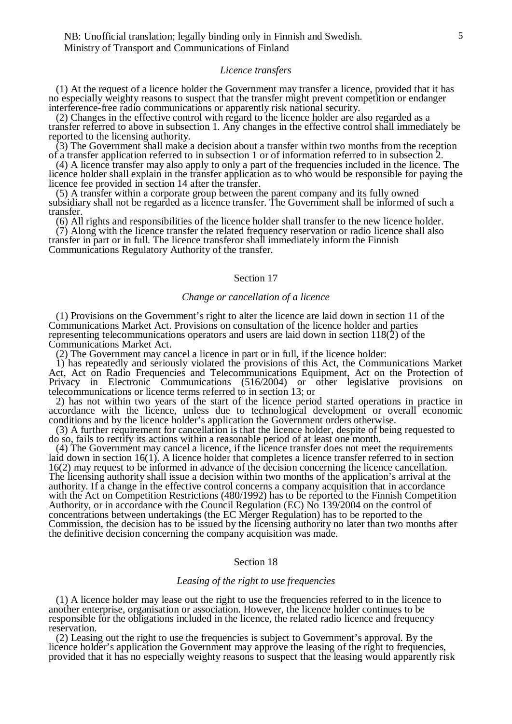NB: Unofficial translation; legally binding only in Finnish and Swedish. Ministry of Transport and Communications of Finland

#### *Licence transfers*

(1) At the request of a licence holder the Government may transfer a licence, provided that it has no especially weighty reasons to suspect that the transfer might prevent competition or endanger interference-free radio communications or apparently risk national security.

(2) Changes in the effective control with regard to the licence holder are also regarded as a transfer referred to above in subsection 1. Any changes in the effective control shall immediately be reported to the licensing authority.

(3) The Government shall make a decision about a transfer within two months from the reception of a transfer application referred to in subsection 1 or of information referred to in subsection 2.

(4) A licence transfer may also apply to only a part of the frequencies included in the licence. The licence holder shall explain in the transfer application as to who would be responsible for paying the licence fee provided in section 14 after the transfer.

(5) A transfer within a corporate group between the parent company and its fully owned subsidiary shall not be regarded as a licence transfer. The Government shall be informed of such a transfer.

(6) All rights and responsibilities of the licence holder shall transfer to the new licence holder.  $(7)$  Along with the licence transfer the related frequency reservation or radio licence shall also transfer in part or in full. The licence transferor shall immediately inform the Finnish

Communications Regulatory Authority of the transfer.

## Section 17

#### *Change or cancellation of a licence*

(1) Provisions on the Government's right to alter the licence are laid down in section 11 of the Communications Market Act. Provisions on consultation of the licence holder and parties representing telecommunications operators and users are laid down in section 118(2) of the Communications Market Act.

(2) The Government may cancel a licence in part or in full, if the licence holder:

1) has repeatedly and seriously violated the provisions of this Act, the Communications Market Act, Act on Radio Frequencies and Telecommunications Equipment, Act on the Protection of Privacy in Electronic Communications (516/2004) or other legislative provisions on telecommunications or licence terms referred to in section 13; or

2) has not within two years of the start of the licence period started operations in practice in accordance with the licence, unless due to technological development or overall economic conditions and by the licence holder's application the Government orders otherwise.

(3) A further requirement for cancellation is that the licence holder, despite of being requested to do so, fails to rectify its actions within a reasonable period of at least one month.

(4) The Government may cancel a licence, if the licence transfer does not meet the requirements laid down in section 16(1). A licence holder that completes a licence transfer referred to in section 16(2) may request to be informed in advance of the decision concerning the licence cancellation. The licensing authority shall issue a decision within two months of the application's arrival at the authority. If a change in the effective control concerns a company acquisition that in accordance with the Act on Competition Restrictions (480/1992) has to be reported to the Finnish Competition Authority, or in accordance with the Council Regulation (EC) No  $139/2004$  on the control of concentrations between undertakings (the EC Merger Regulation) has to be reported to the Commission, the decision has to be issued by the licensing authority no later than two months after the definitive decision concerning the company acquisition was made.

## Section 18

#### *Leasing of the right to use frequencies*

(1) A licence holder may lease out the right to use the frequencies referred to in the licence to another enterprise, organisation or association. However, the licence holder continues to be responsible for the obligations included in the licence, the related radio licence and frequency reservation.

(2) Leasing out the right to use the frequencies is subject to Government's approval. By the licence holder's application the Government may approve the leasing of the right to frequencies, provided that it has no especially weighty reasons to suspect that the leasing would apparently risk